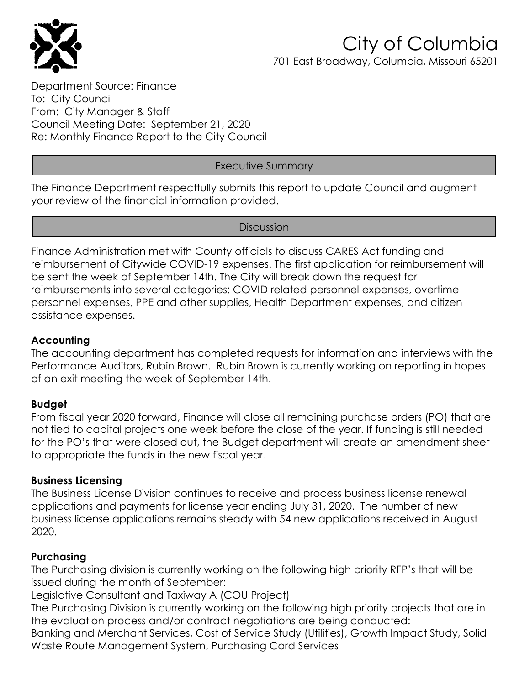

### City of Columbia 701 East Broadway, Columbia, Missouri 65201

Department Source: Finance To: City Council From: City Manager & Staff Council Meeting Date: September 21, 2020 Re: Monthly Finance Report to the City Council

#### Executive Summary

The Finance Department respectfully submits this report to update Council and augment your review of the financial information provided.

**Discussion** 

Finance Administration met with County officials to discuss CARES Act funding and reimbursement of Citywide COVID-19 expenses. The first application for reimbursement will be sent the week of September 14th. The City will break down the request for reimbursements into several categories: COVID related personnel expenses, overtime personnel expenses, PPE and other supplies, Health Department expenses, and citizen assistance expenses.

#### **Accounting**

The accounting department has completed requests for information and interviews with the Performance Auditors, Rubin Brown. Rubin Brown is currently working on reporting in hopes of an exit meeting the week of September 14th.

#### **Budget**

From fiscal year 2020 forward, Finance will close all remaining purchase orders (PO) that are not tied to capital projects one week before the close of the year. If funding is still needed for the PO's that were closed out, the Budget department will create an amendment sheet to appropriate the funds in the new fiscal year.

#### **Business Licensing**

The Business License Division continues to receive and process business license renewal applications and payments for license year ending July 31, 2020. The number of new business license applications remains steady with 54 new applications received in August 2020.

#### **Purchasing**

The Purchasing division is currently working on the following high priority RFP's that will be issued during the month of September:

Legislative Consultant and Taxiway A (COU Project)

The Purchasing Division is currently working on the following high priority projects that are in the evaluation process and/or contract negotiations are being conducted:

Banking and Merchant Services, Cost of Service Study (Utilities), Growth Impact Study, Solid Waste Route Management System, Purchasing Card Services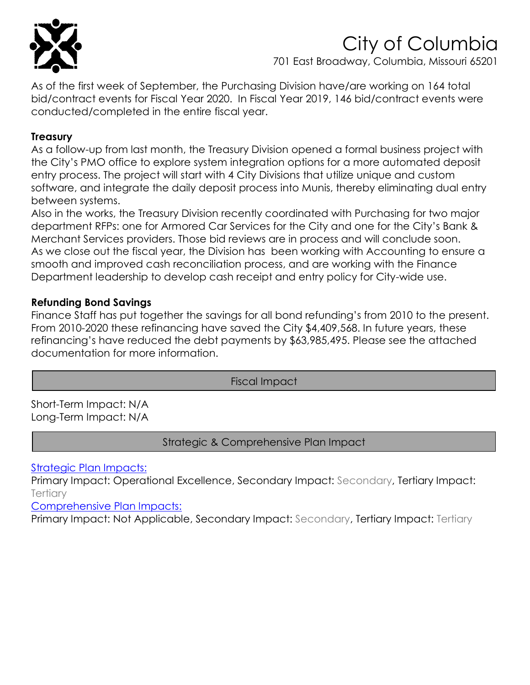

## City of Columbia

701 East Broadway, Columbia, Missouri 65201

As of the first week of September, the Purchasing Division have/are working on 164 total bid/contract events for Fiscal Year 2020. In Fiscal Year 2019, 146 bid/contract events were conducted/completed in the entire fiscal year.

#### **Treasury**

As a follow-up from last month, the Treasury Division opened a formal business project with the City's PMO office to explore system integration options for a more automated deposit entry process. The project will start with 4 City Divisions that utilize unique and custom software, and integrate the daily deposit process into Munis, thereby eliminating dual entry between systems.

Also in the works, the Treasury Division recently coordinated with Purchasing for two major department RFPs: one for Armored Car Services for the City and one for the City's Bank & Merchant Services providers. Those bid reviews are in process and will conclude soon. As we close out the fiscal year, the Division has been working with Accounting to ensure a smooth and improved cash reconciliation process, and are working with the Finance Department leadership to develop cash receipt and entry policy for City-wide use.

#### **Refunding Bond Savings**

Finance Staff has put together the savings for all bond refunding's from 2010 to the present. From 2010-2020 these refinancing have saved the City \$4,409,568. In future years, these refinancing's have reduced the debt payments by \$63,985,495. Please see the attached documentation for more information.

Fiscal Impact

Short-Term Impact: N/A Long-Term Impact: N/A

Strategic & Comprehensive Plan Impact

[Strategic Plan](http://www.gocolumbiamo.com/city-manager/) Impacts:

Primary Impact: Operational Excellence, Secondary Impact: Secondary, Tertiary Impact: **Tertiary** 

[Comprehensive Plan Impacts:](http://www.gocolumbiamo.com/community_development/comprehensive_plan/documents/ColumbiaImagined-FINAL.pdf) 

Primary Impact: Not Applicable, Secondary Impact: Secondary, Tertiary Impact: Tertiary